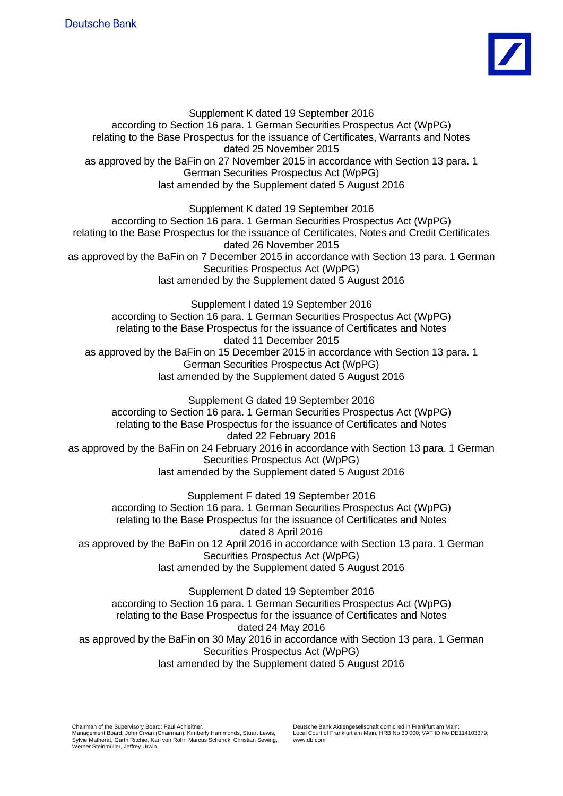

Supplement K dated 19 September 2016 according to Section 16 para. 1 German Securities Prospectus Act (WpPG) relating to the Base Prospectus for the issuance of Certificates, Warrants and Notes dated 25 November 2015 as approved by the BaFin on 27 November 2015 in accordance with Section 13 para. 1 German Securities Prospectus Act (WpPG) last amended by the Supplement dated 5 August 2016 Supplement K dated 19 September 2016 according to Section 16 para. 1 German Securities Prospectus Act (WpPG) relating to the Base Prospectus for the issuance of Certificates, Notes and Credit Certificates dated 26 November 2015 as approved by the BaFin on 7 December 2015 in accordance with Section 13 para. 1 German Securities Prospectus Act (WpPG) last amended by the Supplement dated 5 August 2016 Supplement I dated 19 September 2016 according to Section 16 para. 1 German Securities Prospectus Act (WpPG) relating to the Base Prospectus for the issuance of Certificates and Notes dated 11 December 2015 as approved by the BaFin on 15 December 2015 in accordance with Section 13 para. 1 German Securities Prospectus Act (WpPG) last amended by the Supplement dated 5 August 2016 Supplement G dated 19 September 2016 according to Section 16 para. 1 German Securities Prospectus Act (WpPG) relating to the Base Prospectus for the issuance of Certificates and Notes dated 22 February 2016 as approved by the BaFin on 24 February 2016 in accordance with Section 13 para. 1 German Securities Prospectus Act (WpPG) last amended by the Supplement dated 5 August 2016 Supplement F dated 19 September 2016 according to Section 16 para. 1 German Securities Prospectus Act (WpPG) relating to the Base Prospectus for the issuance of Certificates and Notes dated 8 April 2016 as approved by the BaFin on 12 April 2016 in accordance with Section 13 para. 1 German Securities Prospectus Act (WpPG) last amended by the Supplement dated 5 August 2016 Supplement D dated 19 September 2016

according to Section 16 para. 1 German Securities Prospectus Act (WpPG) relating to the Base Prospectus for the issuance of Certificates and Notes dated 24 May 2016 as approved by the BaFin on 30 May 2016 in accordance with Section 13 para. 1 German Securities Prospectus Act (WpPG) last amended by the Supplement dated 5 August 2016

Chairman of the Supervisory Board: Paul Achleitner. Management Board: John Cryan (Chairman), Kimberly Hammonds, Stuart Lewis, Sylvie Matherat, Garth Ritchie, Karl von Rohr, Marcus Schenck, Christian Sewing, Werner Steinmüller, Jeffrey Urwin.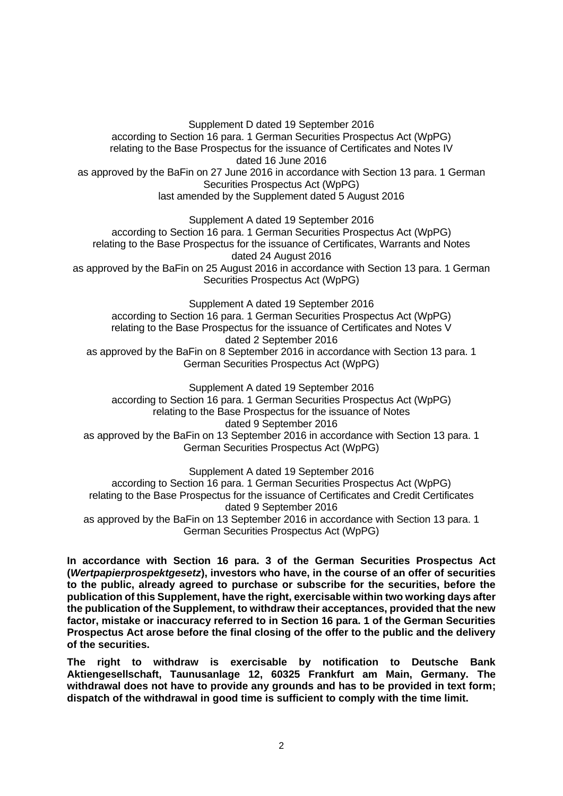Supplement D dated 19 September 2016 according to Section 16 para. 1 German Securities Prospectus Act (WpPG) relating to the Base Prospectus for the issuance of Certificates and Notes IV dated 16 June 2016 as approved by the BaFin on 27 June 2016 in accordance with Section 13 para. 1 German Securities Prospectus Act (WpPG) last amended by the Supplement dated 5 August 2016

Supplement A dated 19 September 2016 according to Section 16 para. 1 German Securities Prospectus Act (WpPG) relating to the Base Prospectus for the issuance of Certificates, Warrants and Notes dated 24 August 2016 as approved by the BaFin on 25 August 2016 in accordance with Section 13 para. 1 German Securities Prospectus Act (WpPG)

Supplement A dated 19 September 2016 according to Section 16 para. 1 German Securities Prospectus Act (WpPG) relating to the Base Prospectus for the issuance of Certificates and Notes V dated 2 September 2016 as approved by the BaFin on 8 September 2016 in accordance with Section 13 para. 1 German Securities Prospectus Act (WpPG)

Supplement A dated 19 September 2016 according to Section 16 para. 1 German Securities Prospectus Act (WpPG) relating to the Base Prospectus for the issuance of Notes dated 9 September 2016 as approved by the BaFin on 13 September 2016 in accordance with Section 13 para. 1 German Securities Prospectus Act (WpPG)

Supplement A dated 19 September 2016 according to Section 16 para. 1 German Securities Prospectus Act (WpPG) relating to the Base Prospectus for the issuance of Certificates and Credit Certificates dated 9 September 2016 as approved by the BaFin on 13 September 2016 in accordance with Section 13 para. 1 German Securities Prospectus Act (WpPG)

**In accordance with Section 16 para. 3 of the German Securities Prospectus Act (***Wertpapierprospektgesetz***), investors who have, in the course of an offer of securities to the public, already agreed to purchase or subscribe for the securities, before the publication of this Supplement, have the right, exercisable within two working days after the publication of the Supplement, to withdraw their acceptances, provided that the new factor, mistake or inaccuracy referred to in Section 16 para. 1 of the German Securities Prospectus Act arose before the final closing of the offer to the public and the delivery of the securities.**

**The right to withdraw is exercisable by notification to Deutsche Bank Aktiengesellschaft, Taunusanlage 12, 60325 Frankfurt am Main, Germany. The withdrawal does not have to provide any grounds and has to be provided in text form; dispatch of the withdrawal in good time is sufficient to comply with the time limit.**